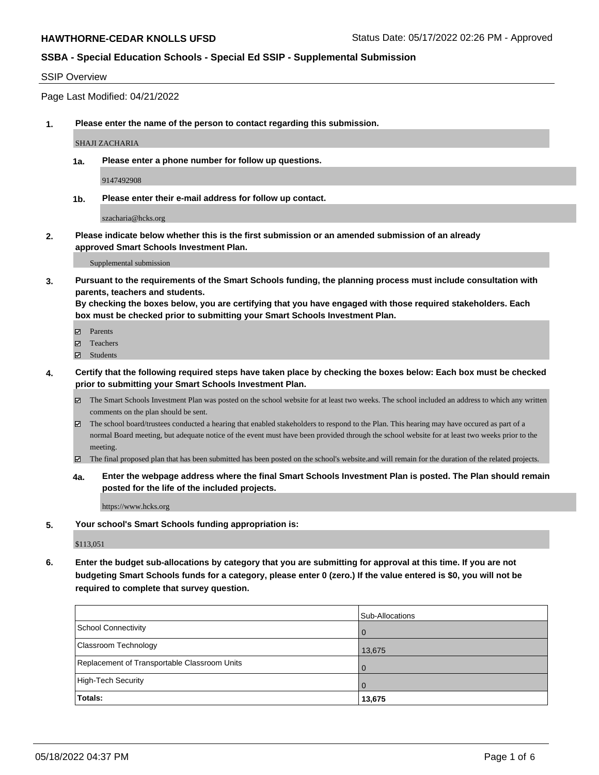#### SSIP Overview

Page Last Modified: 04/21/2022

**1. Please enter the name of the person to contact regarding this submission.**

SHAJI ZACHARIA

**1a. Please enter a phone number for follow up questions.**

9147492908

**1b. Please enter their e-mail address for follow up contact.**

szacharia@hcks.org

**2. Please indicate below whether this is the first submission or an amended submission of an already approved Smart Schools Investment Plan.**

Supplemental submission

**3. Pursuant to the requirements of the Smart Schools funding, the planning process must include consultation with parents, teachers and students.**

**By checking the boxes below, you are certifying that you have engaged with those required stakeholders. Each box must be checked prior to submitting your Smart Schools Investment Plan.**

- $\blacksquare$  Parents
- Teachers
- Students
- **4. Certify that the following required steps have taken place by checking the boxes below: Each box must be checked prior to submitting your Smart Schools Investment Plan.**
	- $\boxtimes$  The Smart Schools Investment Plan was posted on the school website for at least two weeks. The school included an address to which any written comments on the plan should be sent.
	- $\boxtimes$  The school board/trustees conducted a hearing that enabled stakeholders to respond to the Plan. This hearing may have occured as part of a normal Board meeting, but adequate notice of the event must have been provided through the school website for at least two weeks prior to the meeting.
	- The final proposed plan that has been submitted has been posted on the school's website.and will remain for the duration of the related projects.
	- **4a. Enter the webpage address where the final Smart Schools Investment Plan is posted. The Plan should remain posted for the life of the included projects.**

https://www.hcks.org

**5. Your school's Smart Schools funding appropriation is:**

\$113,051

**6. Enter the budget sub-allocations by category that you are submitting for approval at this time. If you are not budgeting Smart Schools funds for a category, please enter 0 (zero.) If the value entered is \$0, you will not be required to complete that survey question.**

|                                              | Sub-Allocations |
|----------------------------------------------|-----------------|
| School Connectivity                          |                 |
| <b>Classroom Technology</b>                  | 13,675          |
| Replacement of Transportable Classroom Units |                 |
| High-Tech Security                           |                 |
| <b>Totals:</b>                               | 13,675          |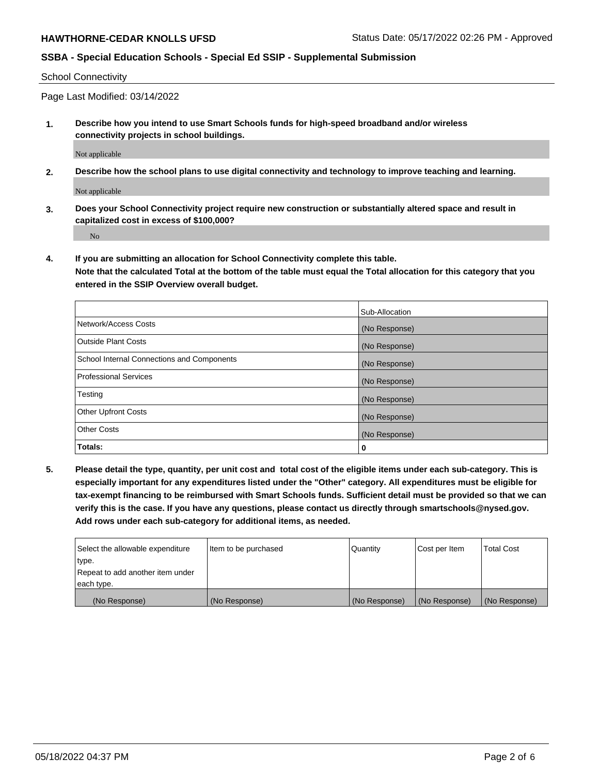School Connectivity

Page Last Modified: 03/14/2022

**1. Describe how you intend to use Smart Schools funds for high-speed broadband and/or wireless connectivity projects in school buildings.**

Not applicable

**2. Describe how the school plans to use digital connectivity and technology to improve teaching and learning.**

Not applicable

**3. Does your School Connectivity project require new construction or substantially altered space and result in capitalized cost in excess of \$100,000?**

No

**4. If you are submitting an allocation for School Connectivity complete this table.**

**Note that the calculated Total at the bottom of the table must equal the Total allocation for this category that you entered in the SSIP Overview overall budget.** 

|                                            | Sub-Allocation |
|--------------------------------------------|----------------|
| Network/Access Costs                       | (No Response)  |
| <b>Outside Plant Costs</b>                 | (No Response)  |
| School Internal Connections and Components | (No Response)  |
| <b>Professional Services</b>               | (No Response)  |
| Testing                                    | (No Response)  |
| <b>Other Upfront Costs</b>                 | (No Response)  |
| <b>Other Costs</b>                         | (No Response)  |
| Totals:                                    | 0              |

**5. Please detail the type, quantity, per unit cost and total cost of the eligible items under each sub-category. This is especially important for any expenditures listed under the "Other" category. All expenditures must be eligible for tax-exempt financing to be reimbursed with Smart Schools funds. Sufficient detail must be provided so that we can verify this is the case. If you have any questions, please contact us directly through smartschools@nysed.gov. Add rows under each sub-category for additional items, as needed.**

| Select the allowable expenditure | Item to be purchased | Quantity      | Cost per Item | Total Cost    |
|----------------------------------|----------------------|---------------|---------------|---------------|
| type.                            |                      |               |               |               |
| Repeat to add another item under |                      |               |               |               |
| each type.                       |                      |               |               |               |
| (No Response)                    | (No Response)        | (No Response) | (No Response) | (No Response) |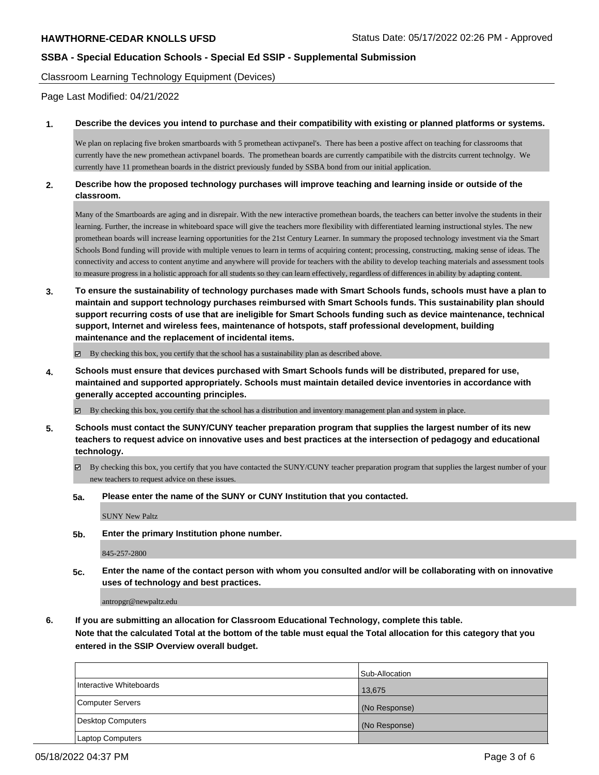Classroom Learning Technology Equipment (Devices)

Page Last Modified: 04/21/2022

#### **1. Describe the devices you intend to purchase and their compatibility with existing or planned platforms or systems.**

We plan on replacing five broken smartboards with 5 promethean activpanel's. There has been a postive affect on teaching for classrooms that currently have the new promethean activpanel boards. The promethean boards are currently campatibile with the distrcits current technolgy. We currently have 11 promethean boards in the district previously funded by SSBA bond from our initial application.

### **2. Describe how the proposed technology purchases will improve teaching and learning inside or outside of the classroom.**

Many of the Smartboards are aging and in disrepair. With the new interactive promethean boards, the teachers can better involve the students in their learning. Further, the increase in whiteboard space will give the teachers more flexibility with differentiated learning instructional styles. The new promethean boards will increase learning opportunities for the 21st Century Learner. In summary the proposed technology investment via the Smart Schools Bond funding will provide with multiple venues to learn in terms of acquiring content; processing, constructing, making sense of ideas. The connectivity and access to content anytime and anywhere will provide for teachers with the ability to develop teaching materials and assessment tools to measure progress in a holistic approach for all students so they can learn effectively, regardless of differences in ability by adapting content.

**3. To ensure the sustainability of technology purchases made with Smart Schools funds, schools must have a plan to maintain and support technology purchases reimbursed with Smart Schools funds. This sustainability plan should support recurring costs of use that are ineligible for Smart Schools funding such as device maintenance, technical support, Internet and wireless fees, maintenance of hotspots, staff professional development, building maintenance and the replacement of incidental items.**

 $\boxtimes$  By checking this box, you certify that the school has a sustainability plan as described above.

**4. Schools must ensure that devices purchased with Smart Schools funds will be distributed, prepared for use, maintained and supported appropriately. Schools must maintain detailed device inventories in accordance with generally accepted accounting principles.**

 $\boxtimes$  By checking this box, you certify that the school has a distribution and inventory management plan and system in place.

- **5. Schools must contact the SUNY/CUNY teacher preparation program that supplies the largest number of its new teachers to request advice on innovative uses and best practices at the intersection of pedagogy and educational technology.**
	- By checking this box, you certify that you have contacted the SUNY/CUNY teacher preparation program that supplies the largest number of your new teachers to request advice on these issues.
	- **5a. Please enter the name of the SUNY or CUNY Institution that you contacted.**

SUNY New Paltz

**5b. Enter the primary Institution phone number.**

845-257-2800

**5c. Enter the name of the contact person with whom you consulted and/or will be collaborating with on innovative uses of technology and best practices.**

antropgr@newpaltz.edu

**6. If you are submitting an allocation for Classroom Educational Technology, complete this table. Note that the calculated Total at the bottom of the table must equal the Total allocation for this category that you entered in the SSIP Overview overall budget.**

|                         | Sub-Allocation |
|-------------------------|----------------|
| Interactive Whiteboards | 13,675         |
| Computer Servers        | (No Response)  |
| Desktop Computers       | (No Response)  |
| <b>Laptop Computers</b> |                |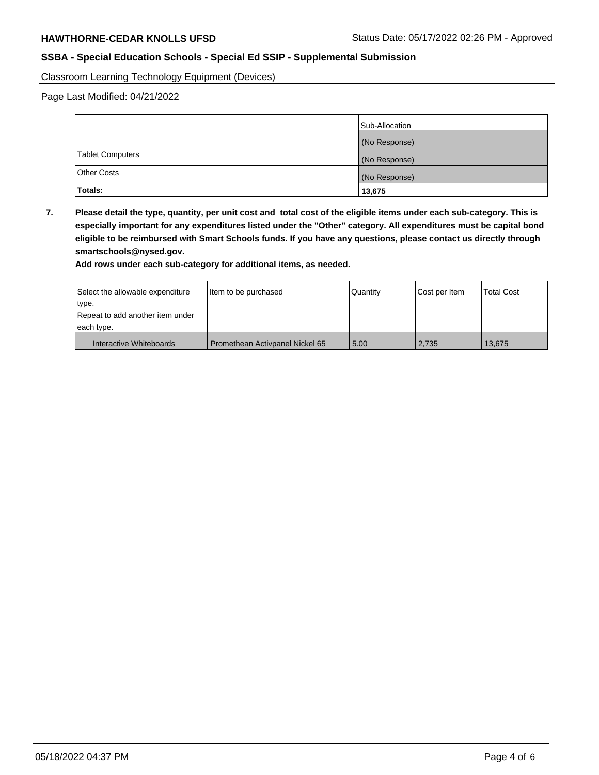Classroom Learning Technology Equipment (Devices)

Page Last Modified: 04/21/2022

|                    | Sub-Allocation |
|--------------------|----------------|
|                    | (No Response)  |
| Tablet Computers   | (No Response)  |
| <b>Other Costs</b> | (No Response)  |
| Totals:            | 13,675         |

**7. Please detail the type, quantity, per unit cost and total cost of the eligible items under each sub-category. This is especially important for any expenditures listed under the "Other" category. All expenditures must be capital bond eligible to be reimbursed with Smart Schools funds. If you have any questions, please contact us directly through smartschools@nysed.gov.**

**Add rows under each sub-category for additional items, as needed.**

| Select the allowable expenditure | Item to be purchased            | Quantity | Cost per Item | <b>Total Cost</b> |
|----------------------------------|---------------------------------|----------|---------------|-------------------|
| 'type.                           |                                 |          |               |                   |
| Repeat to add another item under |                                 |          |               |                   |
| each type.                       |                                 |          |               |                   |
| Interactive Whiteboards          | Promethean Activpanel Nickel 65 | 5.00     | 2,735         | 13.675            |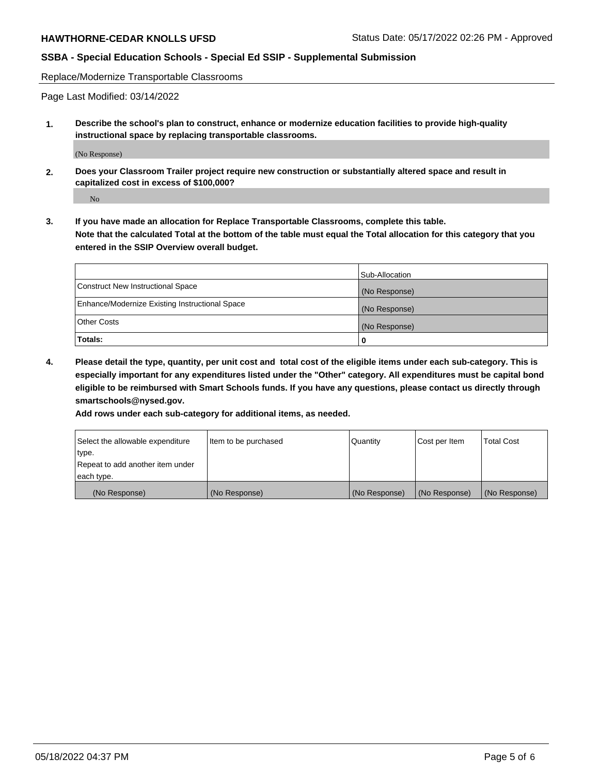Replace/Modernize Transportable Classrooms

Page Last Modified: 03/14/2022

**1. Describe the school's plan to construct, enhance or modernize education facilities to provide high-quality instructional space by replacing transportable classrooms.**

(No Response)

**2. Does your Classroom Trailer project require new construction or substantially altered space and result in capitalized cost in excess of \$100,000?**

No

**3. If you have made an allocation for Replace Transportable Classrooms, complete this table. Note that the calculated Total at the bottom of the table must equal the Total allocation for this category that you entered in the SSIP Overview overall budget.**

|                                                | Sub-Allocation |
|------------------------------------------------|----------------|
| Construct New Instructional Space              | (No Response)  |
| Enhance/Modernize Existing Instructional Space | (No Response)  |
| Other Costs                                    | (No Response)  |
| Totals:                                        | 0              |

**4. Please detail the type, quantity, per unit cost and total cost of the eligible items under each sub-category. This is especially important for any expenditures listed under the "Other" category. All expenditures must be capital bond eligible to be reimbursed with Smart Schools funds. If you have any questions, please contact us directly through smartschools@nysed.gov.**

**Add rows under each sub-category for additional items, as needed.**

| Select the allowable expenditure | Item to be purchased | Quantity      | Cost per Item | <b>Total Cost</b> |
|----------------------------------|----------------------|---------------|---------------|-------------------|
| type.                            |                      |               |               |                   |
| Repeat to add another item under |                      |               |               |                   |
| each type.                       |                      |               |               |                   |
| (No Response)                    | (No Response)        | (No Response) | (No Response) | (No Response)     |